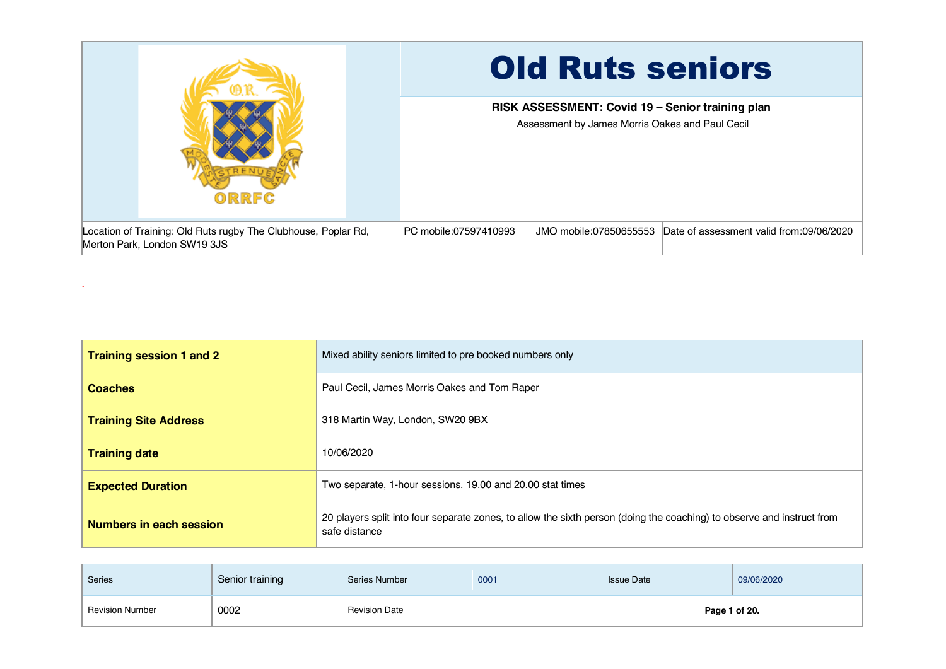|                                                                                                | <b>Old Ruts seniors</b>                                                                             |  |  |  |  |
|------------------------------------------------------------------------------------------------|-----------------------------------------------------------------------------------------------------|--|--|--|--|
| ORRFC                                                                                          | RISK ASSESSMENT: Covid 19 - Senior training plan<br>Assessment by James Morris Oakes and Paul Cecil |  |  |  |  |
| Location of Training: Old Ruts rugby The Clubhouse, Poplar Rd,<br>Merton Park, London SW19 3JS | JMO mobile:07850655553 Date of assessment valid from:09/06/2020<br>PC mobile:07597410993            |  |  |  |  |

.

| Training session 1 and 2     | Mixed ability seniors limited to pre booked numbers only                                                                                |
|------------------------------|-----------------------------------------------------------------------------------------------------------------------------------------|
| <b>Coaches</b>               | Paul Cecil, James Morris Oakes and Tom Raper                                                                                            |
| <b>Training Site Address</b> | 318 Martin Way, London, SW20 9BX                                                                                                        |
| <b>Training date</b>         | 10/06/2020                                                                                                                              |
| <b>Expected Duration</b>     | Two separate, 1-hour sessions. 19.00 and 20.00 stat times                                                                               |
| Numbers in each session      | 20 players split into four separate zones, to allow the sixth person (doing the coaching) to observe and instruct from<br>safe distance |

| <b>Series</b>          | Senior training | Series Number        | 0001 | <b>Issue Date</b> | 09/06/2020 |
|------------------------|-----------------|----------------------|------|-------------------|------------|
| <b>Revision Number</b> | 0002            | <b>Revision Date</b> |      | Page 1 of 20.     |            |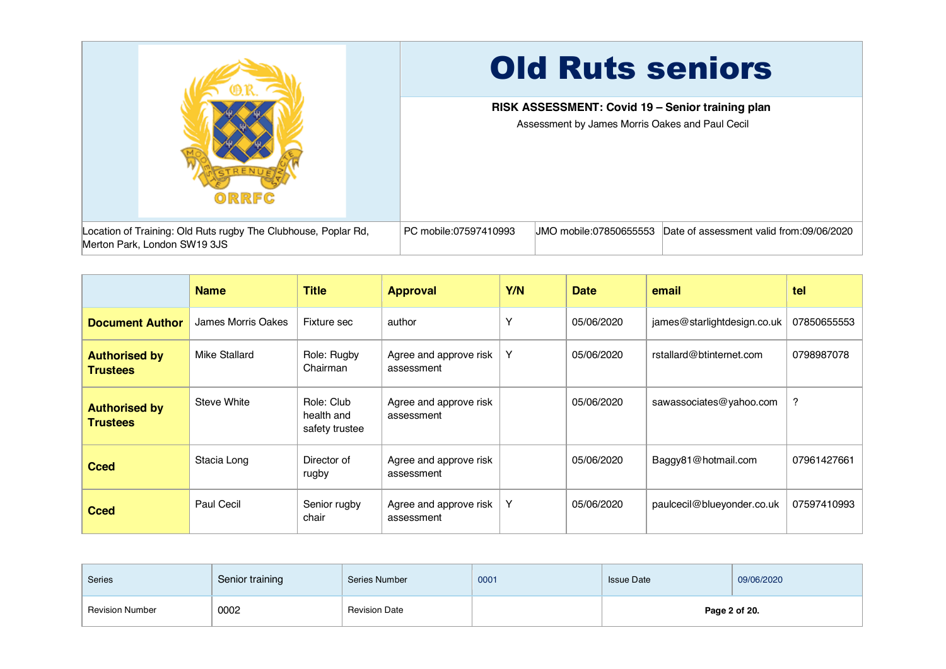

|                                         | <b>Name</b>        | <b>Title</b>                               | <b>Approval</b>                      | Y/N | <b>Date</b> | email                       | tel         |
|-----------------------------------------|--------------------|--------------------------------------------|--------------------------------------|-----|-------------|-----------------------------|-------------|
| <b>Document Author</b>                  | James Morris Oakes | Fixture sec                                | author                               | Υ   | 05/06/2020  | james@starlightdesign.co.uk | 07850655553 |
| <b>Authorised by</b><br><b>Trustees</b> | Mike Stallard      | Role: Rugby<br>Chairman                    | Agree and approve risk<br>assessment | Y   | 05/06/2020  | rstallard@btinternet.com    | 0798987078  |
| <b>Authorised by</b><br><b>Trustees</b> | Steve White        | Role: Club<br>health and<br>safety trustee | Agree and approve risk<br>assessment |     | 05/06/2020  | sawassociates@yahoo.com     | ?           |
| <b>Cced</b>                             | Stacia Long        | Director of<br>rugby                       | Agree and approve risk<br>assessment |     | 05/06/2020  | Baggy81@hotmail.com         | 07961427661 |
| <b>Cced</b>                             | Paul Cecil         | Senior rugby<br>chair                      | Agree and approve risk<br>assessment | Y   | 05/06/2020  | paulcecil@blueyonder.co.uk  | 07597410993 |

| Series                 | Senior training | Series Number        | 0001 | <b>Issue Date</b> | 09/06/2020 |
|------------------------|-----------------|----------------------|------|-------------------|------------|
| <b>Revision Number</b> | 0002            | <b>Revision Date</b> |      | Page 2 of 20.     |            |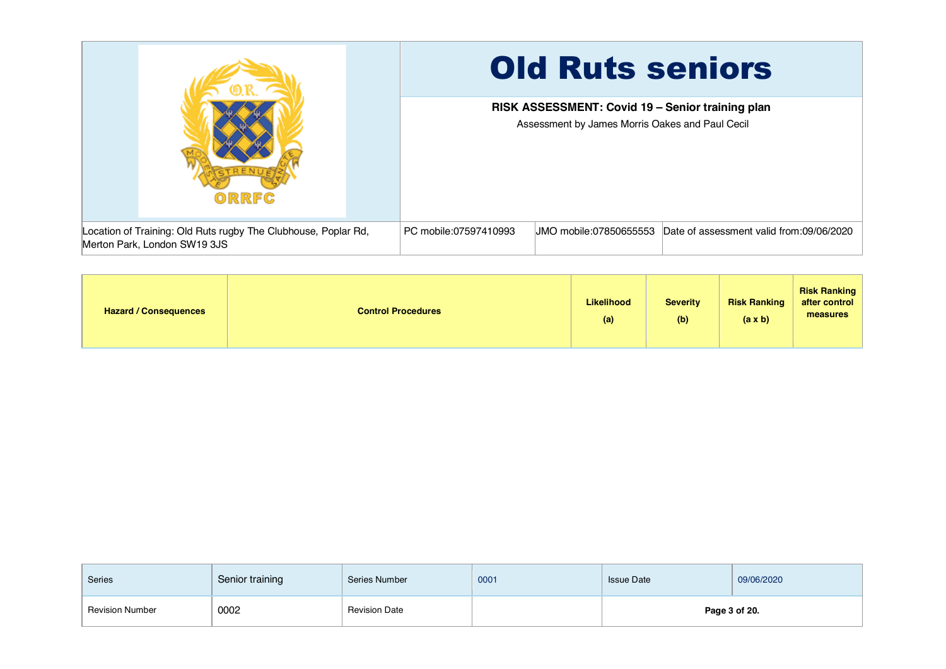|                                                                                                | <b>Old Ruts seniors</b>                                                                             |  |  |  |  |
|------------------------------------------------------------------------------------------------|-----------------------------------------------------------------------------------------------------|--|--|--|--|
| ORRFC                                                                                          | RISK ASSESSMENT: Covid 19 - Senior training plan<br>Assessment by James Morris Oakes and Paul Cecil |  |  |  |  |
| Location of Training: Old Ruts rugby The Clubhouse, Poplar Rd,<br>Merton Park, London SW19 3JS | Date of assessment valid from:09/06/2020<br>PC mobile:07597410993<br>JMO mobile:07850655553         |  |  |  |  |

| <b>Hazard / Consequences</b> | <b>Control Procedures</b> | <b>Likelihood</b><br>(a) | <b>Severity</b><br>(b) | <b>Risk Ranking</b><br>(a x b) | <b>Risk Ranking</b><br>after control<br>measures |
|------------------------------|---------------------------|--------------------------|------------------------|--------------------------------|--------------------------------------------------|
|------------------------------|---------------------------|--------------------------|------------------------|--------------------------------|--------------------------------------------------|

| <b>Series</b>          | Senior training | Series Number        | 0001 | <b>Issue Date</b> | 09/06/2020 |
|------------------------|-----------------|----------------------|------|-------------------|------------|
| <b>Revision Number</b> | 0002<br>- - -   | <b>Revision Date</b> |      | Page 3 of 20.     |            |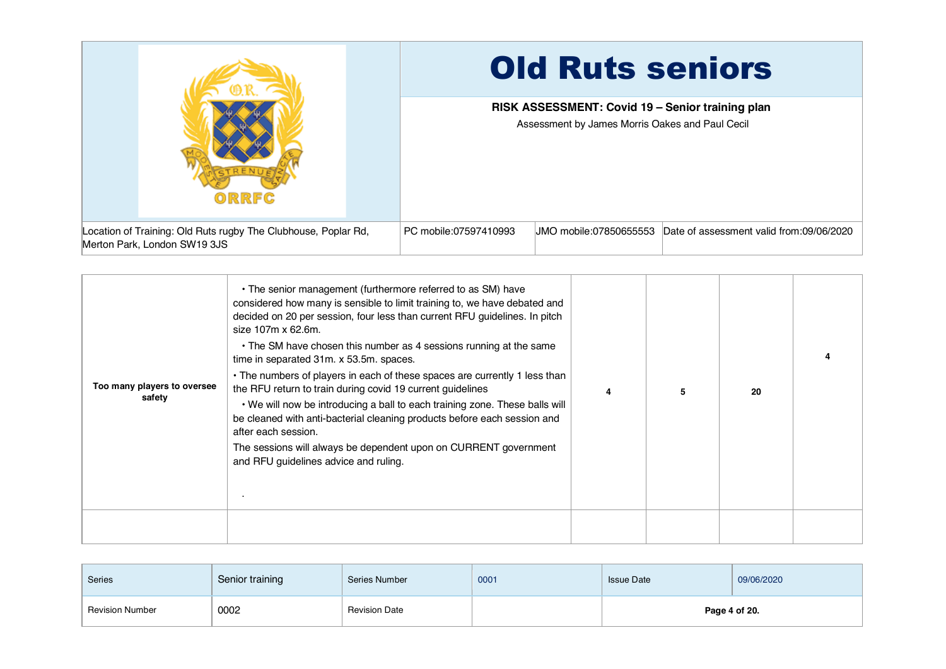|                                                                                                | <b>Old Ruts seniors</b>                                                                             |  |  |  |  |
|------------------------------------------------------------------------------------------------|-----------------------------------------------------------------------------------------------------|--|--|--|--|
| ORRFC                                                                                          | RISK ASSESSMENT: Covid 19 - Senior training plan<br>Assessment by James Morris Oakes and Paul Cecil |  |  |  |  |
| Location of Training: Old Ruts rugby The Clubhouse, Poplar Rd,<br>Merton Park, London SW19 3JS | PC mobile:07597410993<br>Date of assessment valid from:09/06/2020<br>UMO mobile:07850655553         |  |  |  |  |

| Too many players to oversee<br>safety | • The senior management (furthermore referred to as SM) have<br>considered how many is sensible to limit training to, we have debated and<br>decided on 20 per session, four less than current RFU guidelines. In pitch<br>size 107m x 62.6m.<br>• The SM have chosen this number as 4 sessions running at the same<br>time in separated 31m. x 53.5m. spaces.<br>• The numbers of players in each of these spaces are currently 1 less than<br>the RFU return to train during covid 19 current guidelines<br>. We will now be introducing a ball to each training zone. These balls will<br>be cleaned with anti-bacterial cleaning products before each session and<br>after each session.<br>The sessions will always be dependent upon on CURRENT government<br>and RFU guidelines advice and ruling. |  | 20 |  |
|---------------------------------------|-----------------------------------------------------------------------------------------------------------------------------------------------------------------------------------------------------------------------------------------------------------------------------------------------------------------------------------------------------------------------------------------------------------------------------------------------------------------------------------------------------------------------------------------------------------------------------------------------------------------------------------------------------------------------------------------------------------------------------------------------------------------------------------------------------------|--|----|--|
|                                       |                                                                                                                                                                                                                                                                                                                                                                                                                                                                                                                                                                                                                                                                                                                                                                                                           |  |    |  |

| Series                 | Senior training | Series Number        | 0001 | <b>Issue Date</b> | 09/06/2020 |
|------------------------|-----------------|----------------------|------|-------------------|------------|
| <b>Revision Number</b> | 0002            | <b>Revision Date</b> |      | Page 4 of 20.     |            |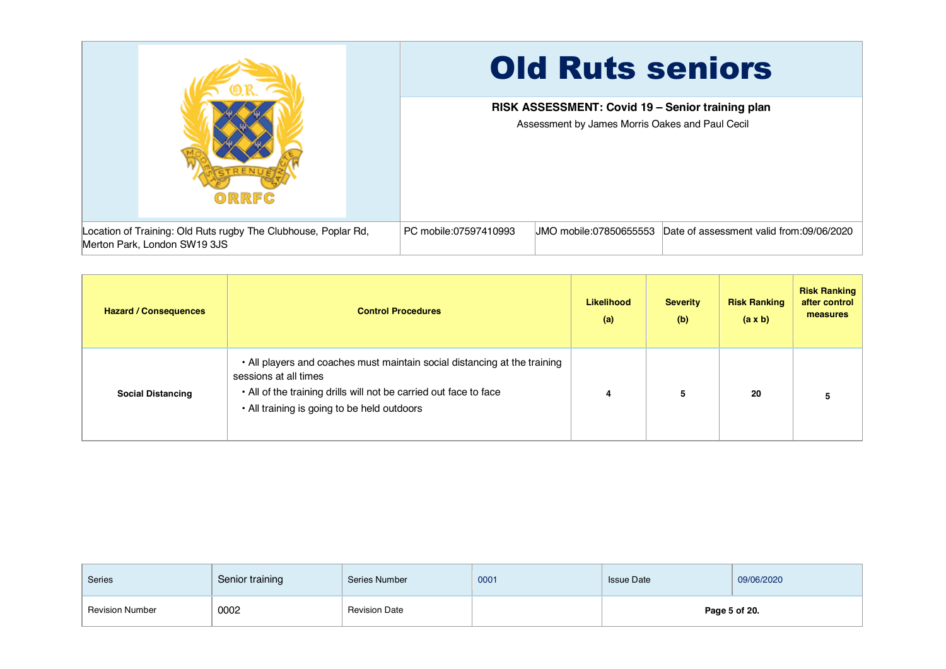

| <b>Hazard / Consequences</b> | <b>Control Procedures</b>                                                                                                                                                                                              | Likelihood<br>(a) | <b>Severity</b><br>(b) | <b>Risk Ranking</b><br>(a x b) | <b>Risk Ranking</b><br>after control<br>measures |
|------------------------------|------------------------------------------------------------------------------------------------------------------------------------------------------------------------------------------------------------------------|-------------------|------------------------|--------------------------------|--------------------------------------------------|
| <b>Social Distancing</b>     | • All players and coaches must maintain social distancing at the training<br>sessions at all times<br>. All of the training drills will not be carried out face to face<br>. All training is going to be held outdoors | 4                 | 5                      | 20                             |                                                  |

| Series                 | Senior training | Series Number        | 0001 | <b>Issue Date</b> | 09/06/2020 |  |
|------------------------|-----------------|----------------------|------|-------------------|------------|--|
| <b>Revision Number</b> | 0002            | <b>Revision Date</b> |      | Page 5 of 20.     |            |  |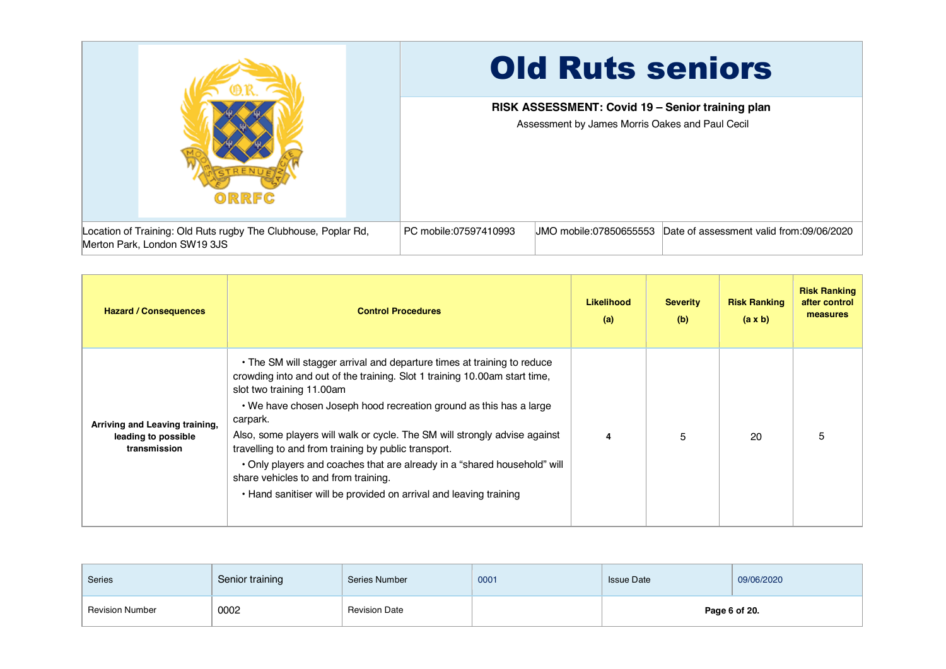

| <b>Hazard / Consequences</b>                                          | <b>Control Procedures</b>                                                                                                                                                                                                                                                                                                                                                                                                                                                                                                                                                                           | Likelihood<br>(a) | <b>Severity</b><br>(b) | <b>Risk Ranking</b><br>$(a \times b)$ | <b>Risk Ranking</b><br>after control<br>measures |
|-----------------------------------------------------------------------|-----------------------------------------------------------------------------------------------------------------------------------------------------------------------------------------------------------------------------------------------------------------------------------------------------------------------------------------------------------------------------------------------------------------------------------------------------------------------------------------------------------------------------------------------------------------------------------------------------|-------------------|------------------------|---------------------------------------|--------------------------------------------------|
| Arriving and Leaving training,<br>leading to possible<br>transmission | • The SM will stagger arrival and departure times at training to reduce<br>crowding into and out of the training. Slot 1 training 10.00am start time,<br>slot two training 11.00am<br>. We have chosen Joseph hood recreation ground as this has a large<br>carpark.<br>Also, some players will walk or cycle. The SM will strongly advise against<br>travelling to and from training by public transport.<br>. Only players and coaches that are already in a "shared household" will<br>share vehicles to and from training.<br>• Hand sanitiser will be provided on arrival and leaving training | 4                 | 5                      | 20                                    | 5                                                |

| Series                 | Senior training | Series Number        | 0001 | <b>Issue Date</b> | 09/06/2020 |  |
|------------------------|-----------------|----------------------|------|-------------------|------------|--|
| <b>Revision Number</b> | 0002            | <b>Revision Date</b> |      | Page 6 of 20.     |            |  |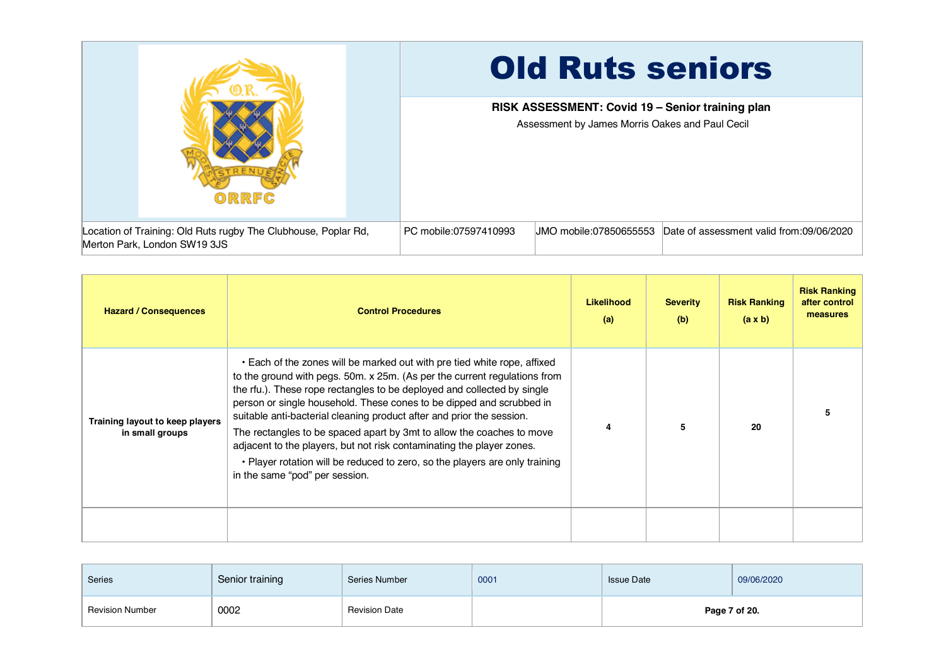

| <b>Hazard / Consequences</b>                       | <b>Control Procedures</b>                                                                                                                                                                                                                                                                                                                                                                                                                                                                                                                                                                                                                            | <b>Likelihood</b><br>(a) | <b>Severity</b><br>(b) | <b>Risk Ranking</b><br>$(a \times b)$ | <b>Risk Ranking</b><br>after control<br>measures |
|----------------------------------------------------|------------------------------------------------------------------------------------------------------------------------------------------------------------------------------------------------------------------------------------------------------------------------------------------------------------------------------------------------------------------------------------------------------------------------------------------------------------------------------------------------------------------------------------------------------------------------------------------------------------------------------------------------------|--------------------------|------------------------|---------------------------------------|--------------------------------------------------|
| Training layout to keep players<br>in small groups | • Each of the zones will be marked out with pre tied white rope, affixed<br>to the ground with pegs. 50m. x 25m. (As per the current regulations from<br>the rfu.). These rope rectangles to be deployed and collected by single<br>person or single household. These cones to be dipped and scrubbed in<br>suitable anti-bacterial cleaning product after and prior the session.<br>The rectangles to be spaced apart by 3mt to allow the coaches to move<br>adjacent to the players, but not risk contaminating the player zones.<br>• Player rotation will be reduced to zero, so the players are only training<br>in the same "pod" per session. | 4                        | 5                      | 20                                    |                                                  |
|                                                    |                                                                                                                                                                                                                                                                                                                                                                                                                                                                                                                                                                                                                                                      |                          |                        |                                       |                                                  |

| Series                 | Senior training | Series Number        | 0001 | <b>Issue Date</b> | 09/06/2020 |  |
|------------------------|-----------------|----------------------|------|-------------------|------------|--|
| <b>Revision Number</b> | 0002            | <b>Revision Date</b> |      | Page 7 of 20.     |            |  |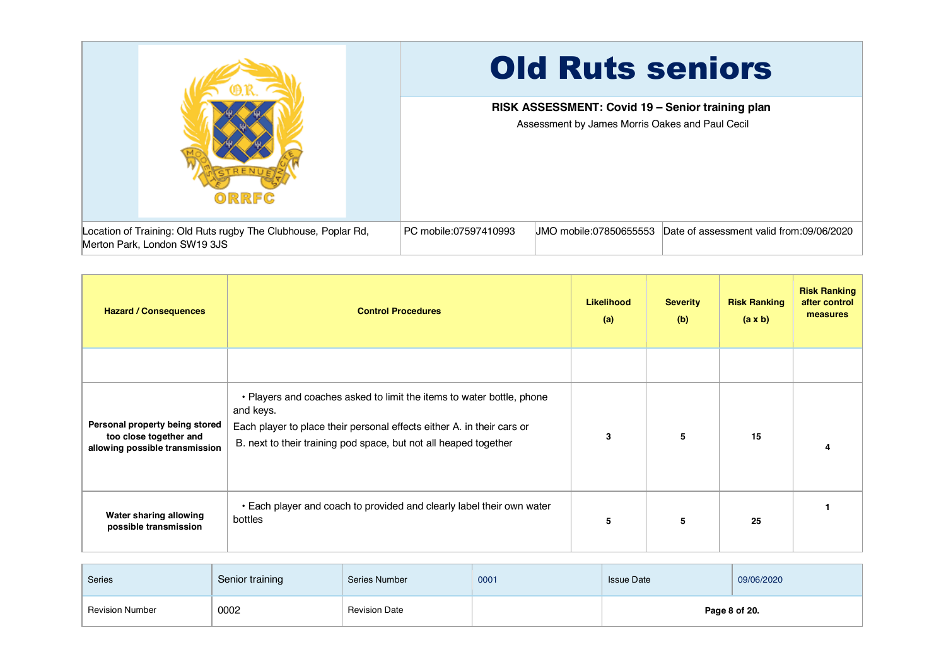

| <b>Hazard / Consequences</b>                                                               | <b>Control Procedures</b>                                                                                                                                                                                                        | Likelihood<br>(a) | <b>Severity</b><br>(b) | <b>Risk Ranking</b><br>$(a \times b)$ | <b>Risk Ranking</b><br>after control<br>measures |
|--------------------------------------------------------------------------------------------|----------------------------------------------------------------------------------------------------------------------------------------------------------------------------------------------------------------------------------|-------------------|------------------------|---------------------------------------|--------------------------------------------------|
|                                                                                            |                                                                                                                                                                                                                                  |                   |                        |                                       |                                                  |
| Personal property being stored<br>too close together and<br>allowing possible transmission | . Players and coaches asked to limit the items to water bottle, phone<br>and keys.<br>Each player to place their personal effects either A. in their cars or<br>B. next to their training pod space, but not all heaped together | 3                 | 5                      | 15                                    |                                                  |
| Water sharing allowing<br>possible transmission                                            | . Each player and coach to provided and clearly label their own water<br>bottles                                                                                                                                                 | 5                 | 5                      | 25                                    |                                                  |

| Series                 | Senior training | Series Number        | 0001 | <b>Issue Date</b> | 09/06/2020 |  |
|------------------------|-----------------|----------------------|------|-------------------|------------|--|
| <b>Revision Number</b> | 0002            | <b>Revision Date</b> |      | Page 8 of 20.     |            |  |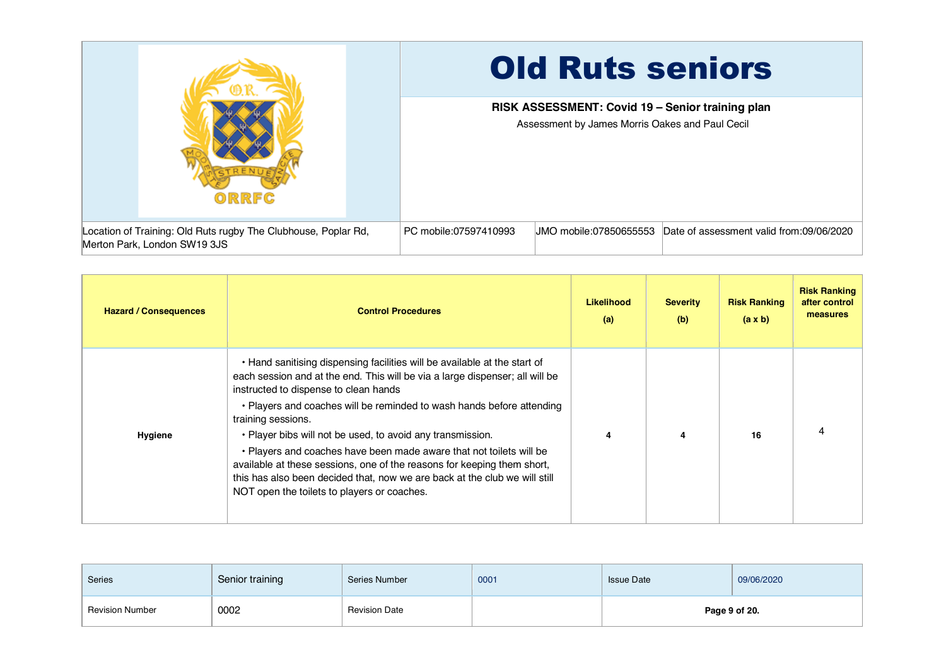

| <b>Hazard / Consequences</b> | <b>Control Procedures</b>                                                                                                                                                                                                                                                                                                                                                                                                                                                                                                                                                                                                                      | <b>Likelihood</b><br>(a) | <b>Severity</b><br>(b) | <b>Risk Ranking</b><br>$(a \times b)$ | <b>Risk Ranking</b><br>after control<br>measures |
|------------------------------|------------------------------------------------------------------------------------------------------------------------------------------------------------------------------------------------------------------------------------------------------------------------------------------------------------------------------------------------------------------------------------------------------------------------------------------------------------------------------------------------------------------------------------------------------------------------------------------------------------------------------------------------|--------------------------|------------------------|---------------------------------------|--------------------------------------------------|
| Hygiene                      | • Hand sanitising dispensing facilities will be available at the start of<br>each session and at the end. This will be via a large dispenser; all will be<br>instructed to dispense to clean hands<br>• Players and coaches will be reminded to wash hands before attending<br>training sessions.<br>• Player bibs will not be used, to avoid any transmission.<br>. Players and coaches have been made aware that not toilets will be<br>available at these sessions, one of the reasons for keeping them short,<br>this has also been decided that, now we are back at the club we will still<br>NOT open the toilets to players or coaches. | 4                        | 4                      | 16                                    |                                                  |

| Series                 | Senior training | Series Number        | 0001 | <b>Issue Date</b> | 09/06/2020 |  |
|------------------------|-----------------|----------------------|------|-------------------|------------|--|
| <b>Revision Number</b> | 0002            | <b>Revision Date</b> |      | Page 9 of 20.     |            |  |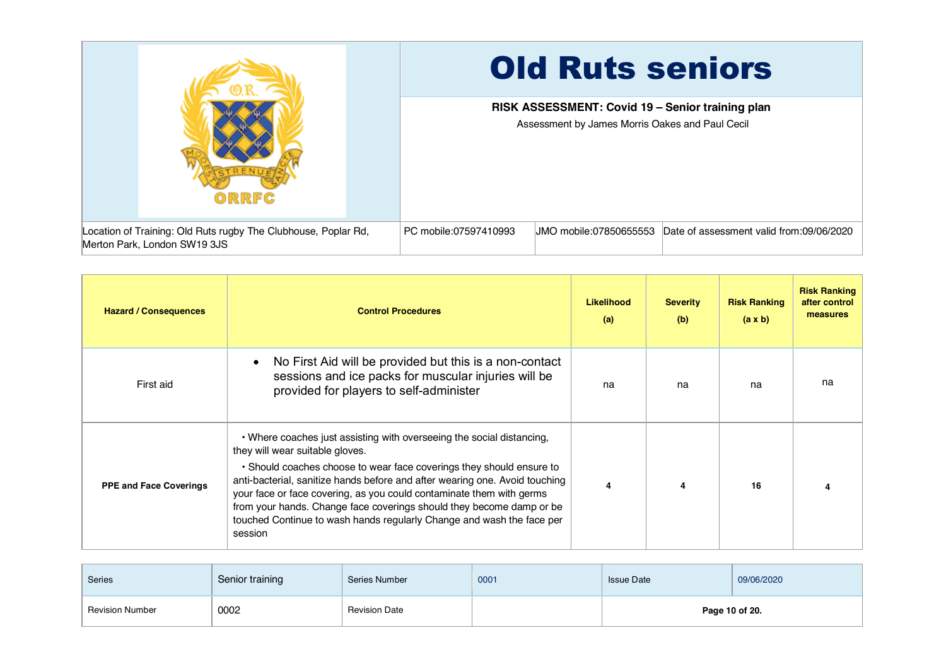

| <b>Hazard / Consequences</b>  | <b>Control Procedures</b>                                                                                                                                                                                                                                                                                                                                                                                                                                                                           | Likelihood<br>(a) | <b>Severity</b><br>(b) | <b>Risk Ranking</b><br>$(a \times b)$ | <b>Risk Ranking</b><br>after control<br>measures |
|-------------------------------|-----------------------------------------------------------------------------------------------------------------------------------------------------------------------------------------------------------------------------------------------------------------------------------------------------------------------------------------------------------------------------------------------------------------------------------------------------------------------------------------------------|-------------------|------------------------|---------------------------------------|--------------------------------------------------|
| First aid                     | No First Aid will be provided but this is a non-contact<br>sessions and ice packs for muscular injuries will be<br>provided for players to self-administer                                                                                                                                                                                                                                                                                                                                          | na                | na                     | na                                    | na                                               |
| <b>PPE and Face Coverings</b> | • Where coaches just assisting with overseeing the social distancing,<br>they will wear suitable gloves.<br>• Should coaches choose to wear face coverings they should ensure to<br>anti-bacterial, sanitize hands before and after wearing one. Avoid touching<br>your face or face covering, as you could contaminate them with germs<br>from your hands. Change face coverings should they become damp or be<br>touched Continue to wash hands regularly Change and wash the face per<br>session | 4                 |                        | 16                                    |                                                  |

| <b>Series</b>          | Senior training | Series Number        | 0001 | <b>Issue Date</b> | 09/06/2020 |  |
|------------------------|-----------------|----------------------|------|-------------------|------------|--|
| <b>Revision Number</b> | 0002            | <b>Revision Date</b> |      | Page 10 of 20.    |            |  |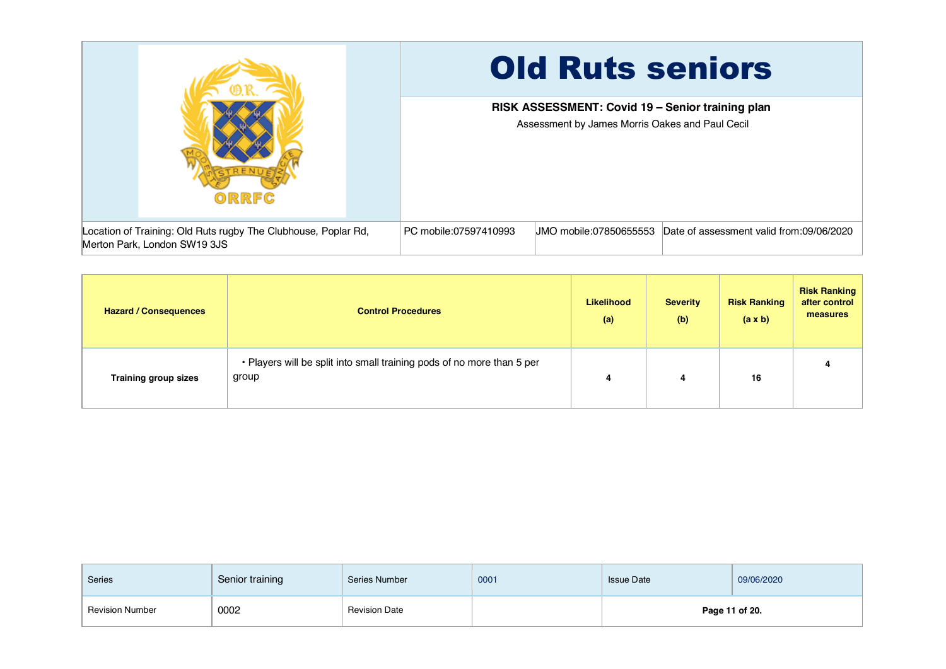

| <b>Hazard / Consequences</b> | <b>Control Procedures</b>                                                       | <b>Likelihood</b><br>(a) | <b>Severity</b><br>(b) | <b>Risk Ranking</b><br>(a x b) | <b>Risk Ranking</b><br>after control<br>measures |
|------------------------------|---------------------------------------------------------------------------------|--------------------------|------------------------|--------------------------------|--------------------------------------------------|
| <b>Training group sizes</b>  | . Players will be split into small training pods of no more than 5 per<br>group | 4                        | 4                      | 16                             | 4                                                |

| <b>Series</b>          | Senior training | Series Number        | 0001 | <b>Issue Date</b> | 09/06/2020     |
|------------------------|-----------------|----------------------|------|-------------------|----------------|
| <b>Revision Number</b> | 0002            | <b>Revision Date</b> |      |                   | Page 11 of 20. |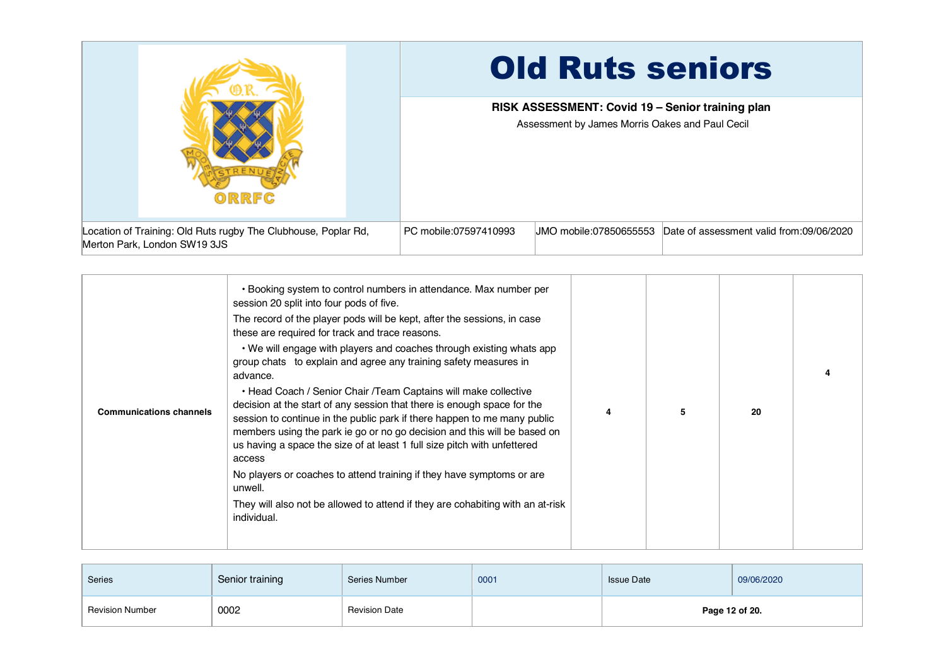|                                                                                                | <b>Old Ruts seniors</b>                                                                             |  |  |  |  |
|------------------------------------------------------------------------------------------------|-----------------------------------------------------------------------------------------------------|--|--|--|--|
| ORRFC                                                                                          | RISK ASSESSMENT: Covid 19 - Senior training plan<br>Assessment by James Morris Oakes and Paul Cecil |  |  |  |  |
| Location of Training: Old Ruts rugby The Clubhouse, Poplar Rd,<br>Merton Park, London SW19 3JS | PC mobile:07597410993<br>UMO mobile:07850655553<br>Date of assessment valid from:09/06/2020         |  |  |  |  |

| <b>Communications channels</b> | . Booking system to control numbers in attendance. Max number per<br>session 20 split into four pods of five.<br>The record of the player pods will be kept, after the sessions, in case<br>these are required for track and trace reasons.<br>• We will engage with players and coaches through existing whats app<br>group chats to explain and agree any training safety measures in<br>advance.<br>• Head Coach / Senior Chair / Team Captains will make collective<br>decision at the start of any session that there is enough space for the<br>session to continue in the public park if there happen to me many public<br>members using the park ie go or no go decision and this will be based on<br>us having a space the size of at least 1 full size pitch with unfettered<br>access<br>No players or coaches to attend training if they have symptoms or are<br>unwell.<br>They will also not be allowed to attend if they are cohabiting with an at-risk<br>individual. | 4 | 5 | 20 |  |
|--------------------------------|---------------------------------------------------------------------------------------------------------------------------------------------------------------------------------------------------------------------------------------------------------------------------------------------------------------------------------------------------------------------------------------------------------------------------------------------------------------------------------------------------------------------------------------------------------------------------------------------------------------------------------------------------------------------------------------------------------------------------------------------------------------------------------------------------------------------------------------------------------------------------------------------------------------------------------------------------------------------------------------|---|---|----|--|
|--------------------------------|---------------------------------------------------------------------------------------------------------------------------------------------------------------------------------------------------------------------------------------------------------------------------------------------------------------------------------------------------------------------------------------------------------------------------------------------------------------------------------------------------------------------------------------------------------------------------------------------------------------------------------------------------------------------------------------------------------------------------------------------------------------------------------------------------------------------------------------------------------------------------------------------------------------------------------------------------------------------------------------|---|---|----|--|

| <b>Series</b>          | Senior training | Series Number        | 0001 | <b>Issue Date</b> | 09/06/2020     |
|------------------------|-----------------|----------------------|------|-------------------|----------------|
| <b>Revision Number</b> | 0002            | <b>Revision Date</b> |      |                   | Page 12 of 20. |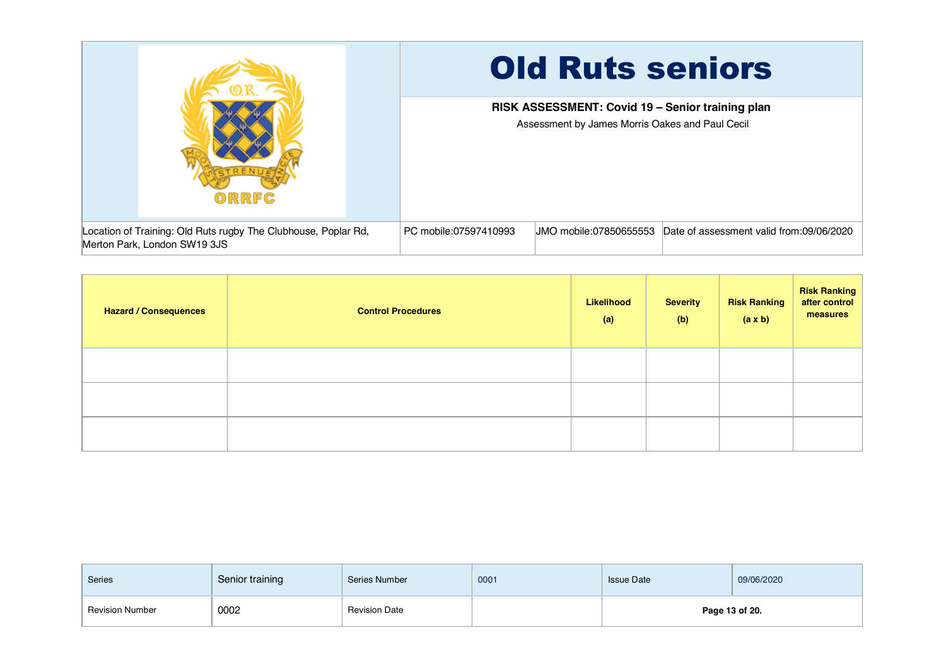|                                                                                                | <b>Old Ruts seniors</b>                                                                             |  |  |  |  |
|------------------------------------------------------------------------------------------------|-----------------------------------------------------------------------------------------------------|--|--|--|--|
| ORRFC                                                                                          | RISK ASSESSMENT: Covid 19 - Senior training plan<br>Assessment by James Morris Oakes and Paul Cecil |  |  |  |  |
| Location of Training: Old Ruts rugby The Clubhouse, Poplar Rd,<br>Merton Park, London SW19 3JS | Date of assessment valid from:09/06/2020<br>PC mobile:07597410993<br>UMO mobile:07850655553         |  |  |  |  |

| <b>Hazard / Consequences</b> | <b>Control Procedures</b> | Likelihood<br>(a) | <b>Severity</b><br>(b) | <b>Risk Ranking</b><br>(a x b) | <b>Risk Ranking</b><br>after control<br>measures |
|------------------------------|---------------------------|-------------------|------------------------|--------------------------------|--------------------------------------------------|
|                              |                           |                   |                        |                                |                                                  |
|                              |                           |                   |                        |                                |                                                  |
|                              |                           |                   |                        |                                |                                                  |

| Series                 | Senior training | Series Number        | 0001 | <b>Issue Date</b> | 09/06/2020     |
|------------------------|-----------------|----------------------|------|-------------------|----------------|
| <b>Revision Number</b> | 0002            | <b>Revision Date</b> |      |                   | Page 13 of 20. |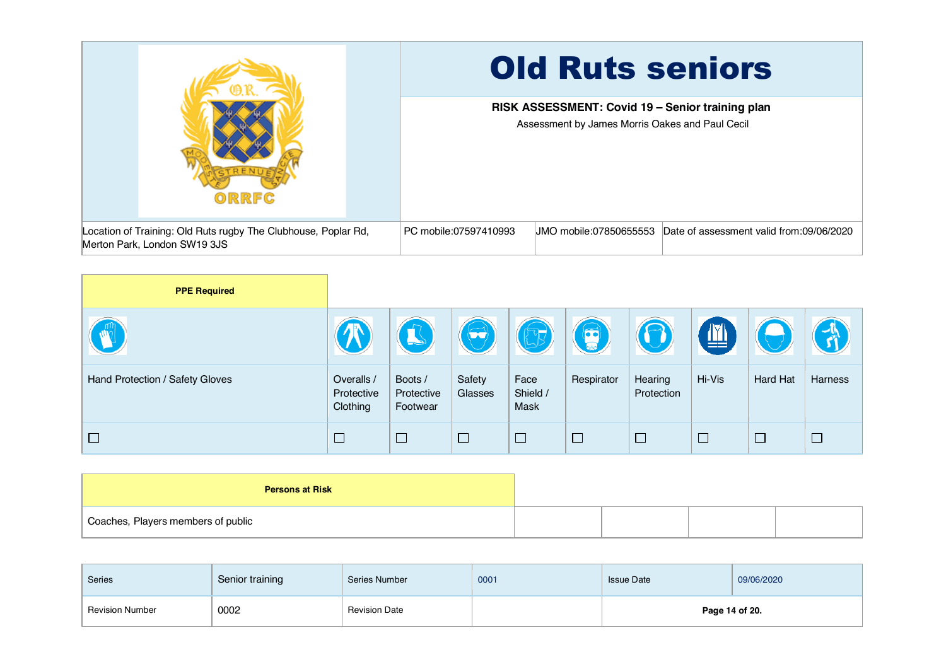|                                                                                                | <b>Old Ruts seniors</b>                                                                             |  |  |  |  |
|------------------------------------------------------------------------------------------------|-----------------------------------------------------------------------------------------------------|--|--|--|--|
| ORRFC                                                                                          | RISK ASSESSMENT: Covid 19 - Senior training plan<br>Assessment by James Morris Oakes and Paul Cecil |  |  |  |  |
| Location of Training: Old Ruts rugby The Clubhouse, Poplar Rd,<br>Merton Park, London SW19 3JS | PC mobile:07597410993<br>UMO mobile:07850655553<br>Date of assessment valid from:09/06/2020         |  |  |  |  |

| <b>PPE Required</b>             |                                      |                                   |                       |                          |            |                       |              |          |         |
|---------------------------------|--------------------------------------|-----------------------------------|-----------------------|--------------------------|------------|-----------------------|--------------|----------|---------|
|                                 |                                      |                                   | $\blacktriangleright$ | EF                       | $\bigcirc$ | $\sqrt{ }$            | $\mathbb{Z}$ |          |         |
| Hand Protection / Safety Gloves | Overalls /<br>Protective<br>Clothing | Boots /<br>Protective<br>Footwear | Safety<br>Glasses     | Face<br>Shield /<br>Mask | Respirator | Hearing<br>Protection | Hi-Vis       | Hard Hat | Harness |
| $\Box$                          | $\Box$                               | $\Box$                            | $\Box$                | $\Box$                   | $\Box$     | $\Box$                | $\Box$       | $\Box$   | $\Box$  |

| <b>Persons at Risk</b>             |  |  |
|------------------------------------|--|--|
| Coaches, Players members of public |  |  |

| <b>Series</b>          | Senior training | Series Number        | 0001 | <b>Issue Date</b> | 09/06/2020     |
|------------------------|-----------------|----------------------|------|-------------------|----------------|
| <b>Revision Number</b> | 0002            | <b>Revision Date</b> |      |                   | Page 14 of 20. |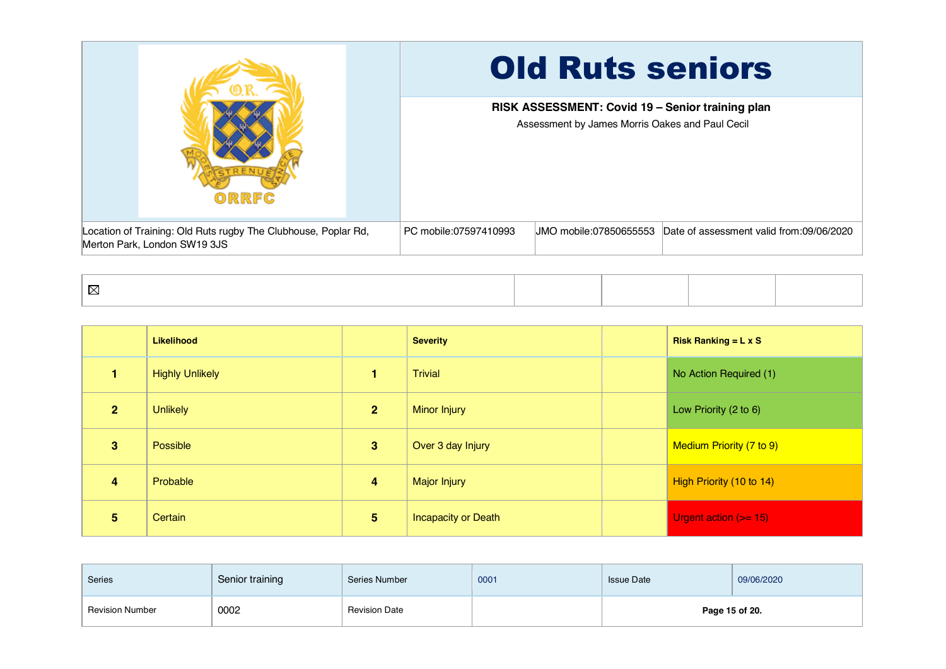|                                                                                                | <b>Old Ruts seniors</b>                                                                             |  |  |  |  |
|------------------------------------------------------------------------------------------------|-----------------------------------------------------------------------------------------------------|--|--|--|--|
| ORRFC                                                                                          | RISK ASSESSMENT: Covid 19 - Senior training plan<br>Assessment by James Morris Oakes and Paul Cecil |  |  |  |  |
| Location of Training: Old Ruts rugby The Clubhouse, Poplar Rd,<br>Merton Park, London SW19 3JS | PC mobile:07597410993<br>JMO mobile:07850655553 Date of assessment valid from:09/06/2020            |  |  |  |  |

|                | <b>Likelihood</b>      |                         | <b>Severity</b>            | Risk Ranking = $L \times S$ |
|----------------|------------------------|-------------------------|----------------------------|-----------------------------|
|                | <b>Highly Unlikely</b> | 1                       | <b>Trivial</b>             | No Action Required (1)      |
| $\overline{2}$ | <b>Unlikely</b>        | $\overline{2}$          | <b>Minor Injury</b>        | Low Priority (2 to 6)       |
| 3              | Possible               | 3                       | Over 3 day Injury          | Medium Priority (7 to 9)    |
| 4              | Probable               | $\overline{\mathbf{4}}$ | <b>Major Injury</b>        | High Priority (10 to 14)    |
| 5              | Certain                | 5                       | <b>Incapacity or Death</b> | Urgent action $(>= 15)$     |

| <b>Series</b>          | Senior training | Series Number        | 0001 | <b>Issue Date</b> | 09/06/2020     |
|------------------------|-----------------|----------------------|------|-------------------|----------------|
| <b>Revision Number</b> | 0002            | <b>Revision Date</b> |      |                   | Page 15 of 20. |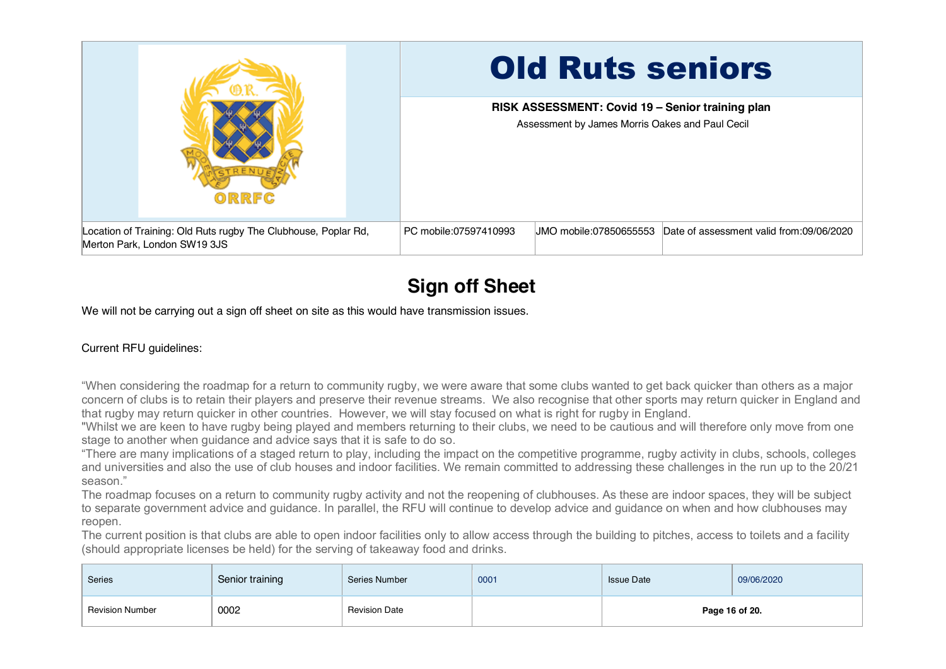|                                                                                                | <b>Old Ruts seniors</b>                                                                             |  |  |  |
|------------------------------------------------------------------------------------------------|-----------------------------------------------------------------------------------------------------|--|--|--|
| ORRFC                                                                                          | RISK ASSESSMENT: Covid 19 - Senior training plan<br>Assessment by James Morris Oakes and Paul Cecil |  |  |  |
| Location of Training: Old Ruts rugby The Clubhouse, Poplar Rd,<br>Merton Park, London SW19 3JS | PC mobile:07597410993<br>UMO mobile:07850655553<br>Date of assessment valid from:09/06/2020         |  |  |  |

## **Sign off Sheet**

We will not be carrying out a sign off sheet on site as this would have transmission issues.

## Current RFU guidelines:

"When considering the roadmap for a return to community rugby, we were aware that some clubs wanted to get back quicker than others as a major concern of clubs is to retain their players and preserve their revenue streams. We also recognise that other sports may return quicker in England and that rugby may return quicker in other countries. However, we will stay focused on what is right for rugby in England.

"Whilst we are keen to have rugby being played and members returning to their clubs, we need to be cautious and will therefore only move from one stage to another when guidance and advice says that it is safe to do so.

"There are many implications of a staged return to play, including the impact on the competitive programme, rugby activity in clubs, schools, colleges and universities and also the use of club houses and indoor facilities. We remain committed to addressing these challenges in the run up to the 20/21 season."

The roadmap focuses on a return to community rugby activity and not the reopening of clubhouses. As these are indoor spaces, they will be subject to separate government advice and guidance. In parallel, the RFU will continue to develop advice and guidance on when and how clubhouses may reopen.

The current position is that clubs are able to open indoor facilities only to allow access through the building to pitches, access to toilets and a facility (should appropriate licenses be held) for the serving of takeaway food and drinks.

| <b>Series</b>          | Senior training | Series Number        | 0001 | <b>Issue Date</b> | 09/06/2020     |
|------------------------|-----------------|----------------------|------|-------------------|----------------|
| <b>Revision Number</b> | 0002            | <b>Revision Date</b> |      |                   | Page 16 of 20. |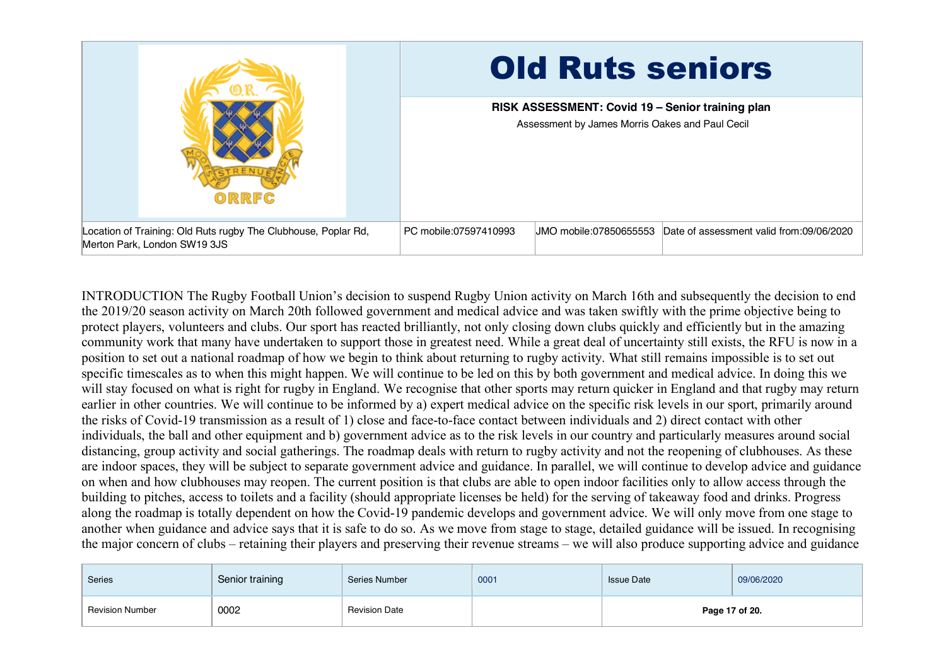

INTRODUCTION The Rugby Football Union's decision to suspend Rugby Union activity on March 16th and subsequently the decision to end the 2019/20 season activity on March 20th followed government and medical advice and was taken swiftly with the prime objective being to protect players, volunteers and clubs. Our sport has reacted brilliantly, not only closing down clubs quickly and efficiently but in the amazing community work that many have undertaken to support those in greatest need. While a great deal of uncertainty still exists, the RFU is now in a position to set out a national roadmap of how we begin to think about returning to rugby activity. What still remains impossible is to set out specific timescales as to when this might happen. We will continue to be led on this by both government and medical advice. In doing this we will stay focused on what is right for rugby in England. We recognise that other sports may return quicker in England and that rugby may return earlier in other countries. We will continue to be informed by a) expert medical advice on the specific risk levels in our sport, primarily around the risks of Covid-19 transmission as a result of 1) close and face-to-face contact between individuals and 2) direct contact with other individuals, the ball and other equipment and b) government advice as to the risk levels in our country and particularly measures around social distancing, group activity and social gatherings. The roadmap deals with return to rugby activity and not the reopening of clubhouses. As these are indoor spaces, they will be subject to separate government advice and guidance. In parallel, we will continue to develop advice and guidance on when and how clubhouses may reopen. The current position is that clubs are able to open indoor facilities only to allow access through the building to pitches, access to toilets and a facility (should appropriate licenses be held) for the serving of takeaway food and drinks. Progress along the roadmap is totally dependent on how the Covid-19 pandemic develops and government advice. We will only move from one stage to another when guidance and advice says that it is safe to do so. As we move from stage to stage, detailed guidance will be issued. In recognising the major concern of clubs – retaining their players and preserving their revenue streams – we will also produce supporting advice and guidance

| Series                 | Senior training | Series Number        | 0001 | <b>Issue Date</b> | 09/06/2020     |
|------------------------|-----------------|----------------------|------|-------------------|----------------|
| <b>Revision Number</b> | 0002            | <b>Revision Date</b> |      |                   | Page 17 of 20. |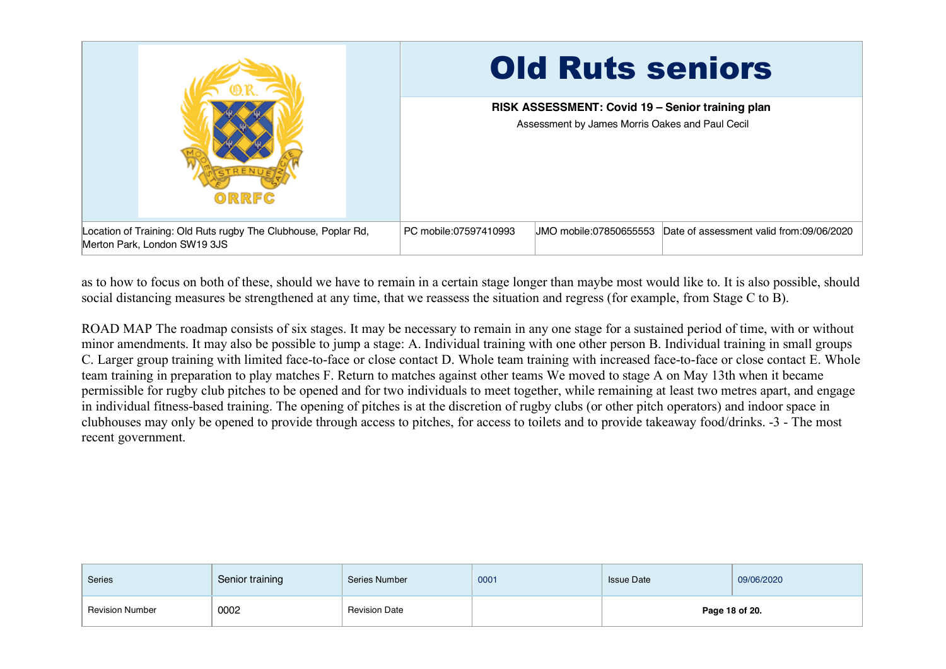

as to how to focus on both of these, should we have to remain in a certain stage longer than maybe most would like to. It is also possible, should social distancing measures be strengthened at any time, that we reassess the situation and regress (for example, from Stage C to B).

ROAD MAP The roadmap consists of six stages. It may be necessary to remain in any one stage for a sustained period of time, with or without minor amendments. It may also be possible to jump a stage: A. Individual training with one other person B. Individual training in small groups C. Larger group training with limited face-to-face or close contact D. Whole team training with increased face-to-face or close contact E. Whole team training in preparation to play matches F. Return to matches against other teams We moved to stage A on May 13th when it became permissible for rugby club pitches to be opened and for two individuals to meet together, while remaining at least two metres apart, and engage in individual fitness-based training. The opening of pitches is at the discretion of rugby clubs (or other pitch operators) and indoor space in clubhouses may only be opened to provide through access to pitches, for access to toilets and to provide takeaway food/drinks. -3 - The most recent government.

| Series                 | Senior training | Series Number        | 0001 | <b>Issue Date</b> | 09/06/2020     |
|------------------------|-----------------|----------------------|------|-------------------|----------------|
| <b>Revision Number</b> | 0002            | <b>Revision Date</b> |      |                   | Page 18 of 20. |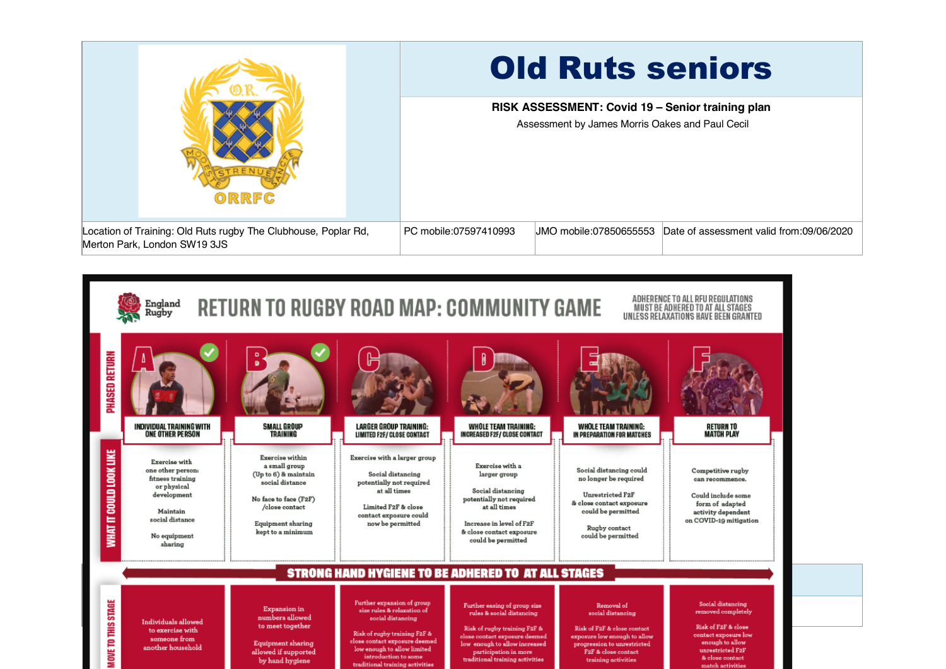|                                                                                                | <b>Old Ruts seniors</b>                                                                             |
|------------------------------------------------------------------------------------------------|-----------------------------------------------------------------------------------------------------|
| ORRFC                                                                                          | RISK ASSESSMENT: Covid 19 - Senior training plan<br>Assessment by James Morris Oakes and Paul Cecil |
| Location of Training: Old Ruts rugby The Clubhouse, Poplar Rd,<br>Merton Park, London SW19 3JS | PC mobile:07597410993<br>UMO mobile:07850655553<br>Date of assessment valid from:09/06/2020         |